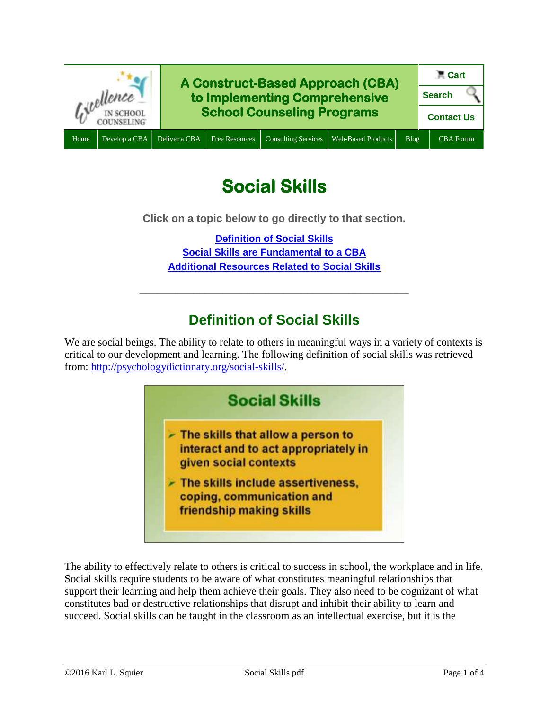

# **Social Skills**

**Click on a topic below to go directly to that section.**

**[Definition of Social Skills](#page-0-0) Social Skills are [Fundamental to a CBA](#page-1-0) [Additional Resources Related to Social Skills](#page-1-1)**

**\_\_\_\_\_\_\_\_\_\_\_\_\_\_\_\_\_\_\_\_\_\_\_\_\_\_\_\_\_\_\_\_\_\_\_\_\_\_\_\_\_\_\_\_\_**

# **Definition of Social Skills**

<span id="page-0-0"></span>We are social beings. The ability to relate to others in meaningful ways in a variety of contexts is critical to our development and learning. The following definition of social skills was retrieved from: [http://psychologydictionary.org/social-skills/.](http://psychologydictionary.org/social-skills/)



The ability to effectively relate to others is critical to success in school, the workplace and in life. Social skills require students to be aware of what constitutes meaningful relationships that support their learning and help them achieve their goals. They also need to be cognizant of what constitutes bad or destructive relationships that disrupt and inhibit their ability to learn and succeed. Social skills can be taught in the classroom as an intellectual exercise, but it is the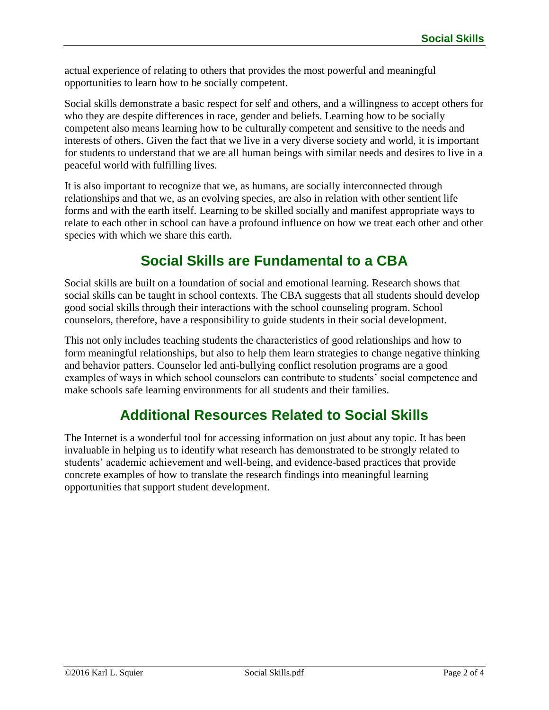actual experience of relating to others that provides the most powerful and meaningful opportunities to learn how to be socially competent.

Social skills demonstrate a basic respect for self and others, and a willingness to accept others for who they are despite differences in race, gender and beliefs. Learning how to be socially competent also means learning how to be culturally competent and sensitive to the needs and interests of others. Given the fact that we live in a very diverse society and world, it is important for students to understand that we are all human beings with similar needs and desires to live in a peaceful world with fulfilling lives.

It is also important to recognize that we, as humans, are socially interconnected through relationships and that we, as an evolving species, are also in relation with other sentient life forms and with the earth itself. Learning to be skilled socially and manifest appropriate ways to relate to each other in school can have a profound influence on how we treat each other and other species with which we share this earth.

## **Social Skills are Fundamental to a CBA**

<span id="page-1-0"></span>Social skills are built on a foundation of social and emotional learning. Research shows that social skills can be taught in school contexts. The CBA suggests that all students should develop good social skills through their interactions with the school counseling program. School counselors, therefore, have a responsibility to guide students in their social development.

This not only includes teaching students the characteristics of good relationships and how to form meaningful relationships, but also to help them learn strategies to change negative thinking and behavior patters. Counselor led anti-bullying conflict resolution programs are a good examples of ways in which school counselors can contribute to students' social competence and make schools safe learning environments for all students and their families.

## **Additional Resources Related to Social Skills**

<span id="page-1-1"></span>The Internet is a wonderful tool for accessing information on just about any topic. It has been invaluable in helping us to identify what research has demonstrated to be strongly related to students' academic achievement and well-being, and evidence-based practices that provide concrete examples of how to translate the research findings into meaningful learning opportunities that support student development.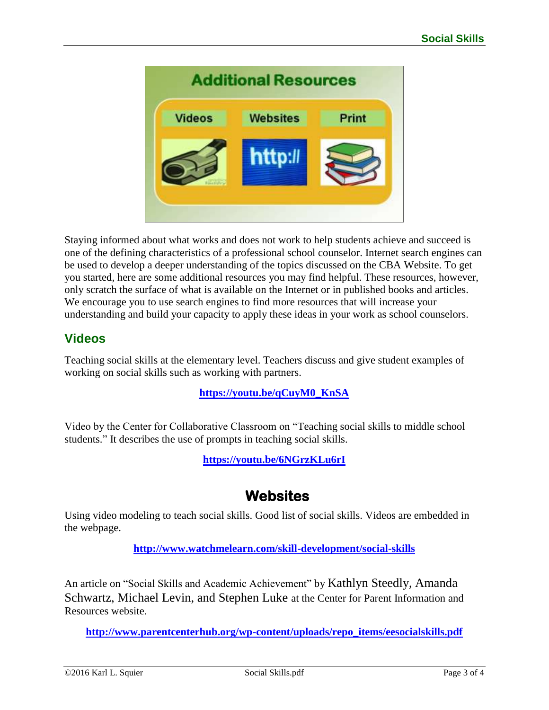

Staying informed about what works and does not work to help students achieve and succeed is one of the defining characteristics of a professional school counselor. Internet search engines can be used to develop a deeper understanding of the topics discussed on the CBA Website. To get you started, here are some additional resources you may find helpful. These resources, however, only scratch the surface of what is available on the Internet or in published books and articles. We encourage you to use search engines to find more resources that will increase your understanding and build your capacity to apply these ideas in your work as school counselors.

## **Videos**

Teaching social skills at the elementary level. Teachers discuss and give student examples of working on social skills such as working with partners.

### **[https://youtu.be/qCuyM0\\_KnSA](https://youtu.be/qCuyM0_KnSA)**

Video by the Center for Collaborative Classroom on "Teaching social skills to middle school students." It describes the use of prompts in teaching social skills.

**<https://youtu.be/6NGrzKLu6rI>**

## **Websites**

Using video modeling to teach social skills. Good list of social skills. Videos are embedded in the webpage.

**<http://www.watchmelearn.com/skill-development/social-skills>**

An article on "Social Skills and Academic Achievement" by Kathlyn Steedly, Amanda Schwartz, Michael Levin, and Stephen Luke at the Center for Parent Information and Resources website.

**[http://www.parentcenterhub.org/wp-content/uploads/repo\\_items/eesocialskills.pdf](http://www.parentcenterhub.org/wp-content/uploads/repo_items/eesocialskills.pdf)**